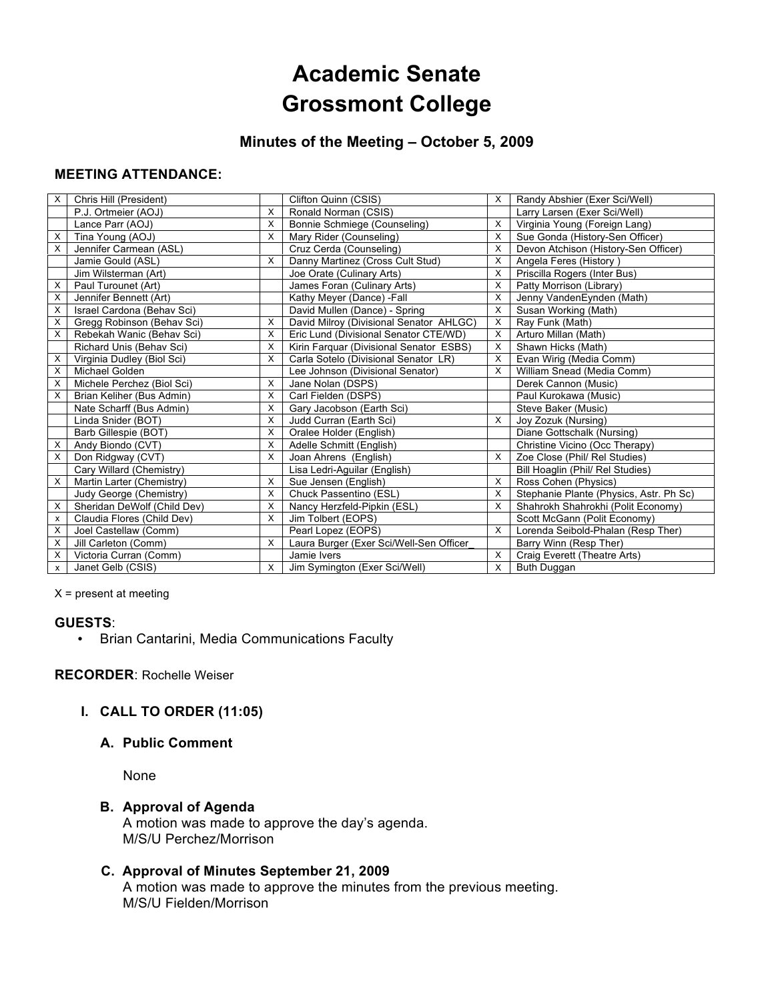# **Academic Senate Grossmont College**

## **Minutes of the Meeting – October 5, 2009**

#### **MEETING ATTENDANCE:**

| X | Chris Hill (President)      |   | Clifton Quinn (CSIS)                    | X | Randy Abshier (Exer Sci/Well)           |
|---|-----------------------------|---|-----------------------------------------|---|-----------------------------------------|
|   | P.J. Ortmeier (AOJ)         | X | Ronald Norman (CSIS)                    |   | Larry Larsen (Exer Sci/Well)            |
|   | Lance Parr (AOJ)            | X | Bonnie Schmiege (Counseling)            | X | Virginia Young (Foreign Lang)           |
| х | Tina Young (AOJ)            | X | Mary Rider (Counseling)                 | X | Sue Gonda (History-Sen Officer)         |
| X | Jennifer Carmean (ASL)      |   | Cruz Cerda (Counseling)                 | X | Devon Atchison (History-Sen Officer)    |
|   | Jamie Gould (ASL)           | X | Danny Martinez (Cross Cult Stud)        | X | Angela Feres (History)                  |
|   | Jim Wilsterman (Art)        |   | Joe Orate (Culinary Arts)               | X | Priscilla Rogers (Inter Bus)            |
| х | Paul Turounet (Art)         |   | James Foran (Culinary Arts)             | X | Patty Morrison (Library)                |
| X | Jennifer Bennett (Art)      |   | Kathy Meyer (Dance) -Fall               | X | Jenny VandenEynden (Math)               |
| х | Israel Cardona (Behav Sci)  |   | David Mullen (Dance) - Spring           | X | Susan Working (Math)                    |
| X | Gregg Robinson (Behav Sci)  | X | David Milroy (Divisional Senator AHLGC) | X | Ray Funk (Math)                         |
| X | Rebekah Wanic (Behav Sci)   | X | Eric Lund (Divisional Senator CTE/WD)   | X | Arturo Millan (Math)                    |
|   | Richard Unis (Behav Sci)    | X | Kirin Farquar (Divisional Senator ESBS) | X | Shawn Hicks (Math)                      |
| X | Virginia Dudley (Biol Sci)  | X | Carla Sotelo (Divisional Senator LR)    | X | Evan Wirig (Media Comm)                 |
| X | Michael Golden              |   | Lee Johnson (Divisional Senator)        | X | William Snead (Media Comm)              |
| X | Michele Perchez (Biol Sci)  | X | Jane Nolan (DSPS)                       |   | Derek Cannon (Music)                    |
| X | Brian Keliher (Bus Admin)   | X | Carl Fielden (DSPS)                     |   | Paul Kurokawa (Music)                   |
|   | Nate Scharff (Bus Admin)    | X | Gary Jacobson (Earth Sci)               |   | Steve Baker (Music)                     |
|   | Linda Snider (BOT)          | X | Judd Curran (Earth Sci)                 | X | Joy Zozuk (Nursing)                     |
|   | Barb Gillespie (BOT)        | X | Oralee Holder (English)                 |   | Diane Gottschalk (Nursing)              |
| х | Andy Biondo (CVT)           | X | Adelle Schmitt (English)                |   | Christine Vicino (Occ Therapy)          |
| X | Don Ridgway (CVT)           | X | Joan Ahrens (English)                   | X | Zoe Close (Phil/ Rel Studies)           |
|   | Cary Willard (Chemistry)    |   | Lisa Ledri-Aguilar (English)            |   | Bill Hoaglin (Phil/ Rel Studies)        |
| X | Martin Larter (Chemistry)   | X | Sue Jensen (English)                    | X | Ross Cohen (Physics)                    |
|   | Judy George (Chemistry)     | X | Chuck Passentino (ESL)                  | X | Stephanie Plante (Physics, Astr. Ph Sc) |
| х | Sheridan DeWolf (Child Dev) | X | Nancy Herzfeld-Pipkin (ESL)             | X | Shahrokh Shahrokhi (Polit Economy)      |
| x | Claudia Flores (Child Dev)  | X | Jim Tolbert (EOPS)                      |   | Scott McGann (Polit Economy)            |
| X | Joel Castellaw (Comm)       |   | Pearl Lopez (EOPS)                      | X | Lorenda Seibold-Phalan (Resp Ther)      |
| х | Jill Carleton (Comm)        | X | Laura Burger (Exer Sci/Well-Sen Officer |   | Barry Winn (Resp Ther)                  |
| X | Victoria Curran (Comm)      |   | Jamie Ivers                             | X | Craig Everett (Theatre Arts)            |
| x | Janet Gelb (CSIS)           | X | Jim Symington (Exer Sci/Well)           | X | Buth Duggan                             |

 $X =$  present at meeting

#### **GUESTS**:

• Brian Cantarini, Media Communications Faculty

#### **RECORDER**: Rochelle Weiser

## **I. CALL TO ORDER (11:05)**

#### **A. Public Comment**

None

#### **B. Approval of Agenda**

A motion was made to approve the day's agenda. M/S/U Perchez/Morrison

## **C. Approval of Minutes September 21, 2009**

A motion was made to approve the minutes from the previous meeting. M/S/U Fielden/Morrison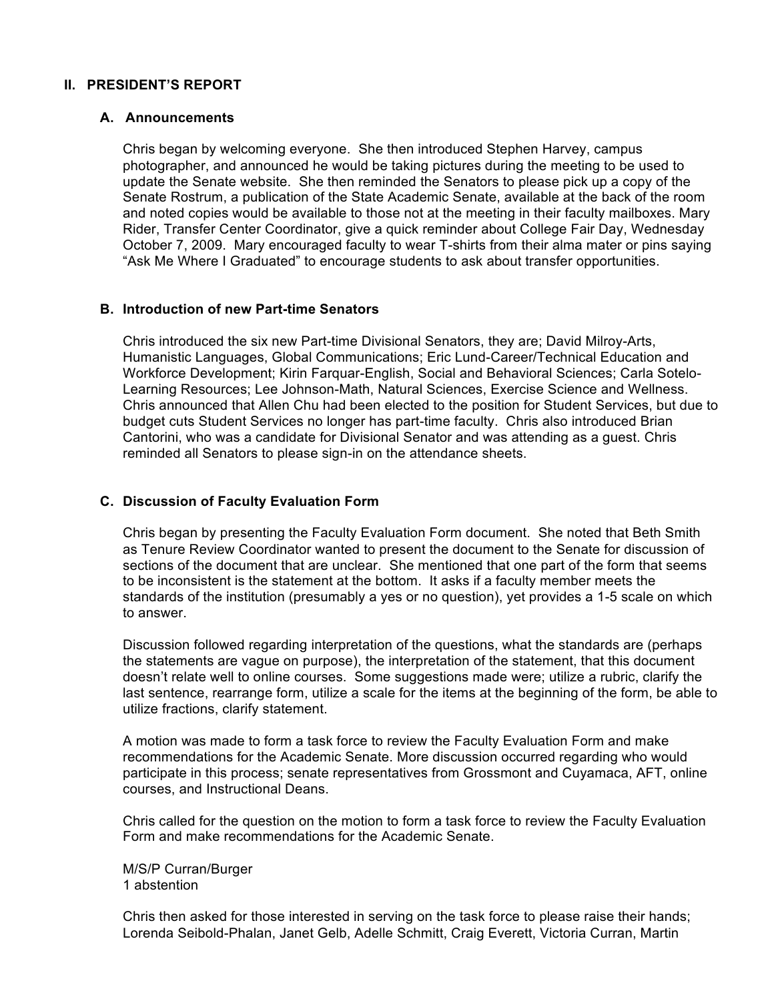#### **II. PRESIDENT'S REPORT**

#### **A. Announcements**

Chris began by welcoming everyone. She then introduced Stephen Harvey, campus photographer, and announced he would be taking pictures during the meeting to be used to update the Senate website. She then reminded the Senators to please pick up a copy of the Senate Rostrum, a publication of the State Academic Senate, available at the back of the room and noted copies would be available to those not at the meeting in their faculty mailboxes. Mary Rider, Transfer Center Coordinator, give a quick reminder about College Fair Day, Wednesday October 7, 2009. Mary encouraged faculty to wear T-shirts from their alma mater or pins saying "Ask Me Where I Graduated" to encourage students to ask about transfer opportunities.

#### **B. Introduction of new Part-time Senators**

Chris introduced the six new Part-time Divisional Senators, they are; David Milroy-Arts, Humanistic Languages, Global Communications; Eric Lund-Career/Technical Education and Workforce Development; Kirin Farquar-English, Social and Behavioral Sciences; Carla Sotelo-Learning Resources; Lee Johnson-Math, Natural Sciences, Exercise Science and Wellness. Chris announced that Allen Chu had been elected to the position for Student Services, but due to budget cuts Student Services no longer has part-time faculty. Chris also introduced Brian Cantorini, who was a candidate for Divisional Senator and was attending as a guest. Chris reminded all Senators to please sign-in on the attendance sheets.

#### **C. Discussion of Faculty Evaluation Form**

Chris began by presenting the Faculty Evaluation Form document. She noted that Beth Smith as Tenure Review Coordinator wanted to present the document to the Senate for discussion of sections of the document that are unclear. She mentioned that one part of the form that seems to be inconsistent is the statement at the bottom. It asks if a faculty member meets the standards of the institution (presumably a yes or no question), yet provides a 1-5 scale on which to answer.

Discussion followed regarding interpretation of the questions, what the standards are (perhaps the statements are vague on purpose), the interpretation of the statement, that this document doesn't relate well to online courses. Some suggestions made were; utilize a rubric, clarify the last sentence, rearrange form, utilize a scale for the items at the beginning of the form, be able to utilize fractions, clarify statement.

A motion was made to form a task force to review the Faculty Evaluation Form and make recommendations for the Academic Senate. More discussion occurred regarding who would participate in this process; senate representatives from Grossmont and Cuyamaca, AFT, online courses, and Instructional Deans.

Chris called for the question on the motion to form a task force to review the Faculty Evaluation Form and make recommendations for the Academic Senate.

M/S/P Curran/Burger 1 abstention

Chris then asked for those interested in serving on the task force to please raise their hands; Lorenda Seibold-Phalan, Janet Gelb, Adelle Schmitt, Craig Everett, Victoria Curran, Martin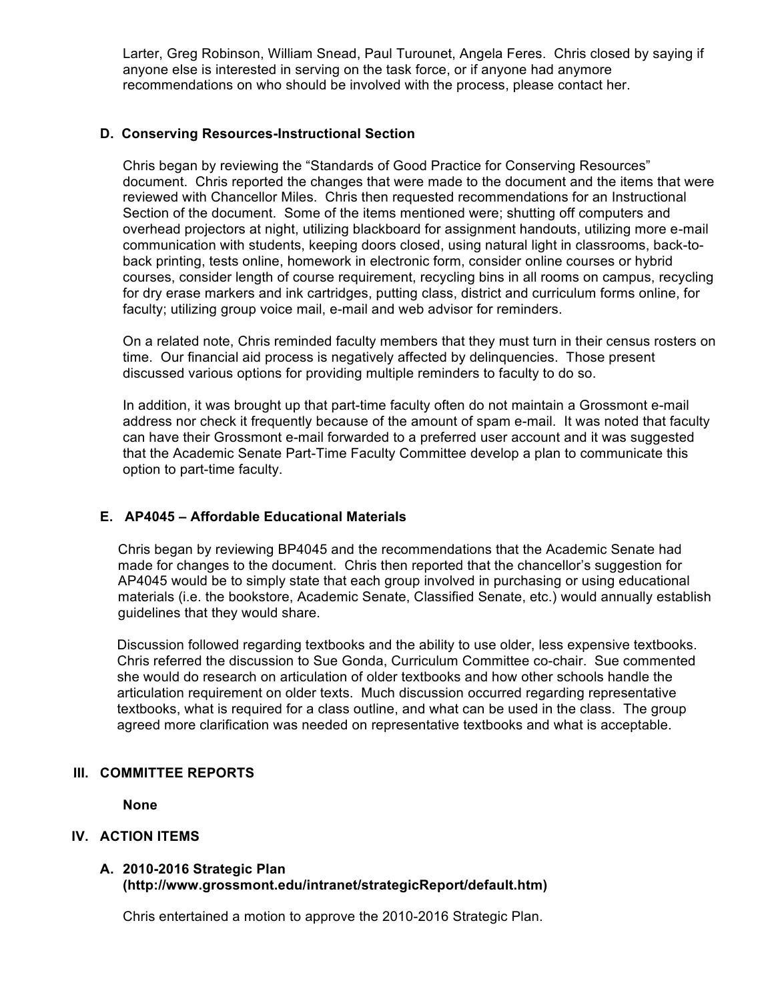Larter, Greg Robinson, William Snead, Paul Turounet, Angela Feres. Chris closed by saying if anyone else is interested in serving on the task force, or if anyone had anymore recommendations on who should be involved with the process, please contact her.

#### **D. Conserving Resources-Instructional Section**

Chris began by reviewing the "Standards of Good Practice for Conserving Resources" document. Chris reported the changes that were made to the document and the items that were reviewed with Chancellor Miles. Chris then requested recommendations for an Instructional Section of the document. Some of the items mentioned were; shutting off computers and overhead projectors at night, utilizing blackboard for assignment handouts, utilizing more e-mail communication with students, keeping doors closed, using natural light in classrooms, back-toback printing, tests online, homework in electronic form, consider online courses or hybrid courses, consider length of course requirement, recycling bins in all rooms on campus, recycling for dry erase markers and ink cartridges, putting class, district and curriculum forms online, for faculty; utilizing group voice mail, e-mail and web advisor for reminders.

On a related note, Chris reminded faculty members that they must turn in their census rosters on time. Our financial aid process is negatively affected by delinquencies. Those present discussed various options for providing multiple reminders to faculty to do so.

In addition, it was brought up that part-time faculty often do not maintain a Grossmont e-mail address nor check it frequently because of the amount of spam e-mail. It was noted that faculty can have their Grossmont e-mail forwarded to a preferred user account and it was suggested that the Academic Senate Part-Time Faculty Committee develop a plan to communicate this option to part-time faculty.

## **E. AP4045 – Affordable Educational Materials**

Chris began by reviewing BP4045 and the recommendations that the Academic Senate had made for changes to the document. Chris then reported that the chancellor's suggestion for AP4045 would be to simply state that each group involved in purchasing or using educational materials (i.e. the bookstore, Academic Senate, Classified Senate, etc.) would annually establish guidelines that they would share.

Discussion followed regarding textbooks and the ability to use older, less expensive textbooks. Chris referred the discussion to Sue Gonda, Curriculum Committee co-chair. Sue commented she would do research on articulation of older textbooks and how other schools handle the articulation requirement on older texts. Much discussion occurred regarding representative textbooks, what is required for a class outline, and what can be used in the class. The group agreed more clarification was needed on representative textbooks and what is acceptable.

#### **III. COMMITTEE REPORTS**

**None**

#### **IV. ACTION ITEMS**

#### **A. 2010-2016 Strategic Plan (http://www.grossmont.edu/intranet/strategicReport/default.htm)**

Chris entertained a motion to approve the 2010-2016 Strategic Plan.